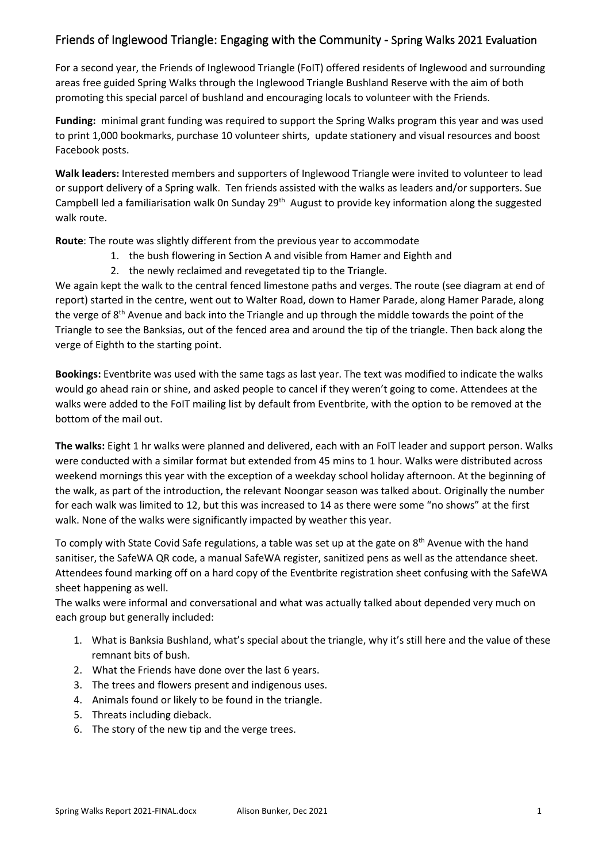# Friends of Inglewood Triangle: Engaging with the Community - Spring Walks 2021 Evaluation

For a second year, the Friends of Inglewood Triangle (FoIT) offered residents of Inglewood and surrounding areas free guided Spring Walks through the Inglewood Triangle Bushland Reserve with the aim of both promoting this special parcel of bushland and encouraging locals to volunteer with the Friends.

**Funding:** minimal grant funding was required to support the Spring Walks program this year and was used to print 1,000 bookmarks, purchase 10 volunteer shirts, update stationery and visual resources and boost Facebook posts.

**Walk leaders:** Interested members and supporters of Inglewood Triangle were invited to volunteer to lead or support delivery of a Spring walk. Ten friends assisted with the walks as leaders and/or supporters. Sue Campbell led a familiarisation walk 0n Sunday 29<sup>th</sup> August to provide key information along the suggested walk route.

**Route**: The route was slightly different from the previous year to accommodate

- 1. the bush flowering in Section A and visible from Hamer and Eighth and
- 2. the newly reclaimed and revegetated tip to the Triangle.

We again kept the walk to the central fenced limestone paths and verges. The route (see diagram at end of report) started in the centre, went out to Walter Road, down to Hamer Parade, along Hamer Parade, along the verge of 8<sup>th</sup> Avenue and back into the Triangle and up through the middle towards the point of the Triangle to see the Banksias, out of the fenced area and around the tip of the triangle. Then back along the verge of Eighth to the starting point.

**Bookings:** Eventbrite was used with the same tags as last year. The text was modified to indicate the walks would go ahead rain or shine, and asked people to cancel if they weren't going to come. Attendees at the walks were added to the FoIT mailing list by default from Eventbrite, with the option to be removed at the bottom of the mail out.

**The walks:** Eight 1 hr walks were planned and delivered, each with an FoIT leader and support person. Walks were conducted with a similar format but extended from 45 mins to 1 hour. Walks were distributed across weekend mornings this year with the exception of a weekday school holiday afternoon. At the beginning of the walk, as part of the introduction, the relevant Noongar season was talked about. Originally the number for each walk was limited to 12, but this was increased to 14 as there were some "no shows" at the first walk. None of the walks were significantly impacted by weather this year.

To comply with State Covid Safe regulations, a table was set up at the gate on 8<sup>th</sup> Avenue with the hand sanitiser, the SafeWA QR code, a manual SafeWA register, sanitized pens as well as the attendance sheet. Attendees found marking off on a hard copy of the Eventbrite registration sheet confusing with the SafeWA sheet happening as well.

The walks were informal and conversational and what was actually talked about depended very much on each group but generally included:

- 1. What is Banksia Bushland, what's special about the triangle, why it's still here and the value of these remnant bits of bush.
- 2. What the Friends have done over the last 6 years.
- 3. The trees and flowers present and indigenous uses.
- 4. Animals found or likely to be found in the triangle.
- 5. Threats including dieback.
- 6. The story of the new tip and the verge trees.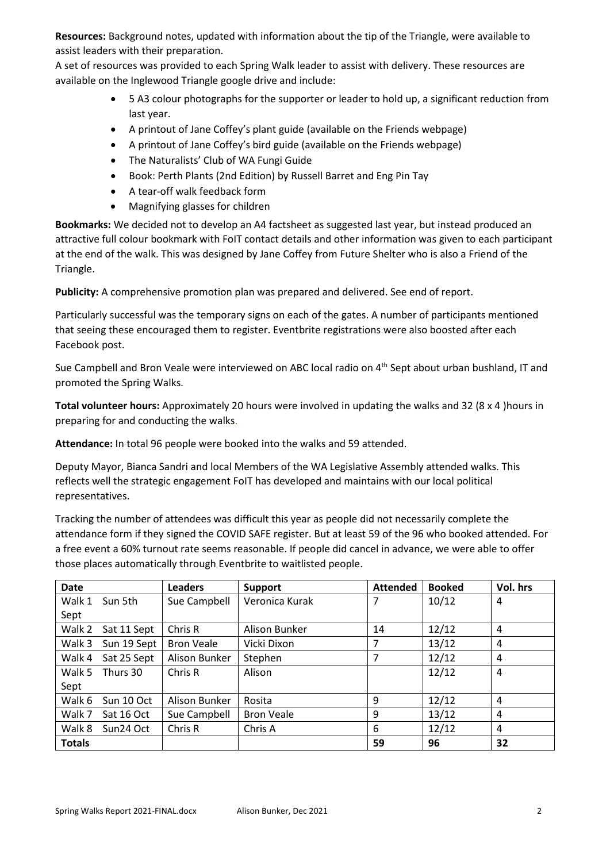**Resources:** Background notes, updated with information about the tip of the Triangle, were available to assist leaders with their preparation.

A set of resources was provided to each Spring Walk leader to assist with delivery. These resources are available on the Inglewood Triangle google drive and include:

- 5 A3 colour photographs for the supporter or leader to hold up, a significant reduction from last year.
- A printout of Jane Coffey's plant guide (available on the Friends webpage)
- A printout of Jane Coffey's bird guide (available on the Friends webpage)
- The Naturalists' Club of WA Fungi Guide
- Book: Perth Plants (2nd Edition) by Russell Barret and Eng Pin Tay
- A tear-off walk feedback form
- Magnifying glasses for children

**Bookmarks:** We decided not to develop an A4 factsheet as suggested last year, but instead produced an attractive full colour bookmark with FoIT contact details and other information was given to each participant at the end of the walk. This was designed by Jane Coffey from Future Shelter who is also a Friend of the Triangle.

**Publicity:** A comprehensive promotion plan was prepared and delivered. See end of report.

Particularly successful was the temporary signs on each of the gates. A number of participants mentioned that seeing these encouraged them to register. Eventbrite registrations were also boosted after each Facebook post.

Sue Campbell and Bron Veale were interviewed on ABC local radio on 4<sup>th</sup> Sept about urban bushland, IT and promoted the Spring Walks.

**Total volunteer hours:** Approximately 20 hours were involved in updating the walks and 32 (8 x 4 )hours in preparing for and conducting the walks.

**Attendance:** In total 96 people were booked into the walks and 59 attended.

Deputy Mayor, Bianca Sandri and local Members of the WA Legislative Assembly attended walks. This reflects well the strategic engagement FoIT has developed and maintains with our local political representatives.

Tracking the number of attendees was difficult this year as people did not necessarily complete the attendance form if they signed the COVID SAFE register. But at least 59 of the 96 who booked attended. For a free event a 60% turnout rate seems reasonable. If people did cancel in advance, we were able to offer those places automatically through Eventbrite to waitlisted people.

| Date          |             | <b>Leaders</b>    | <b>Support</b>    | <b>Attended</b> | <b>Booked</b> | Vol. hrs |
|---------------|-------------|-------------------|-------------------|-----------------|---------------|----------|
| Walk 1        | Sun 5th     | Sue Campbell      | Veronica Kurak    | 7               | 10/12         | 4        |
| Sept          |             |                   |                   |                 |               |          |
| Walk 2        | Sat 11 Sept | Chris R           | Alison Bunker     | 14              | 12/12         | 4        |
| Walk 3        | Sun 19 Sept | <b>Bron Veale</b> | Vicki Dixon       | 7               | 13/12         | 4        |
| Walk 4        | Sat 25 Sept | Alison Bunker     | Stephen           | 7               | 12/12         | 4        |
| Walk 5        | Thurs 30    | Chris R           | Alison            |                 | 12/12         | 4        |
| Sept          |             |                   |                   |                 |               |          |
| Walk 6        | Sun 10 Oct  | Alison Bunker     | Rosita            | 9               | 12/12         | 4        |
| Walk 7        | Sat 16 Oct  | Sue Campbell      | <b>Bron Veale</b> | 9               | 13/12         | 4        |
| Walk 8        | Sun24 Oct   | Chris R           | Chris A           | 6               | 12/12         | 4        |
| <b>Totals</b> |             |                   |                   | 59              | 96            | 32       |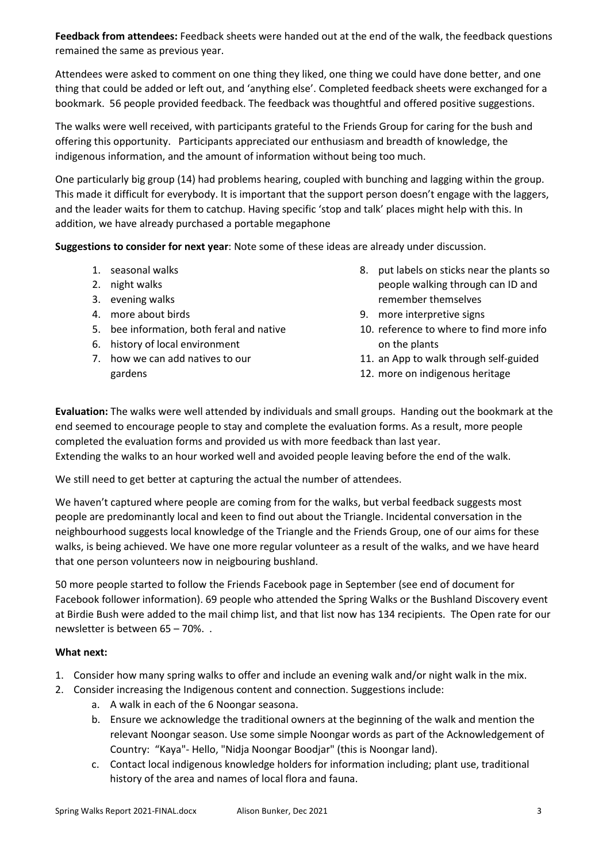**Feedback from attendees:** Feedback sheets were handed out at the end of the walk, the feedback questions remained the same as previous year.

Attendees were asked to comment on one thing they liked, one thing we could have done better, and one thing that could be added or left out, and 'anything else'. Completed feedback sheets were exchanged for a bookmark. 56 people provided feedback. The feedback was thoughtful and offered positive suggestions.

The walks were well received, with participants grateful to the Friends Group for caring for the bush and offering this opportunity. Participants appreciated our enthusiasm and breadth of knowledge, the indigenous information, and the amount of information without being too much.

One particularly big group (14) had problems hearing, coupled with bunching and lagging within the group. This made it difficult for everybody. It is important that the support person doesn't engage with the laggers, and the leader waits for them to catchup. Having specific 'stop and talk' places might help with this. In addition, we have already purchased a portable megaphone

**Suggestions to consider for next year**: Note some of these ideas are already under discussion.

- 1. seasonal walks
- 2. night walks
- 3. evening walks
- 4. more about birds
- 5. bee information, both feral and native
- 6. history of local environment
- 7. how we can add natives to our gardens
- 8. put labels on sticks near the plants so people walking through can ID and remember themselves
- 9. more interpretive signs
- 10. reference to where to find more info on the plants
- 11. an App to walk through self-guided
- 12. more on indigenous heritage

**Evaluation:** The walks were well attended by individuals and small groups. Handing out the bookmark at the end seemed to encourage people to stay and complete the evaluation forms. As a result, more people completed the evaluation forms and provided us with more feedback than last year.

Extending the walks to an hour worked well and avoided people leaving before the end of the walk.

We still need to get better at capturing the actual the number of attendees.

We haven't captured where people are coming from for the walks, but verbal feedback suggests most people are predominantly local and keen to find out about the Triangle. Incidental conversation in the neighbourhood suggests local knowledge of the Triangle and the Friends Group, one of our aims for these walks, is being achieved. We have one more regular volunteer as a result of the walks, and we have heard that one person volunteers now in neigbouring bushland.

50 more people started to follow the Friends Facebook page in September (see end of document for Facebook follower information). 69 people who attended the Spring Walks or the Bushland Discovery event at Birdie Bush were added to the mail chimp list, and that list now has 134 recipients. The Open rate for our newsletter is between 65 – 70%. .

### **What next:**

- 1. Consider how many spring walks to offer and include an evening walk and/or night walk in the mix.
- 2. Consider increasing the Indigenous content and connection. Suggestions include:
	- a. A walk in each of the 6 Noongar seasona.
	- b. Ensure we acknowledge the traditional owners at the beginning of the walk and mention the relevant Noongar season. Use some simple Noongar words as part of the Acknowledgement of Country: "Kaya"- Hello, "Nidja Noongar Boodjar" (this is Noongar land).
	- c. Contact local indigenous knowledge holders for information including; plant use, traditional history of the area and names of local flora and fauna.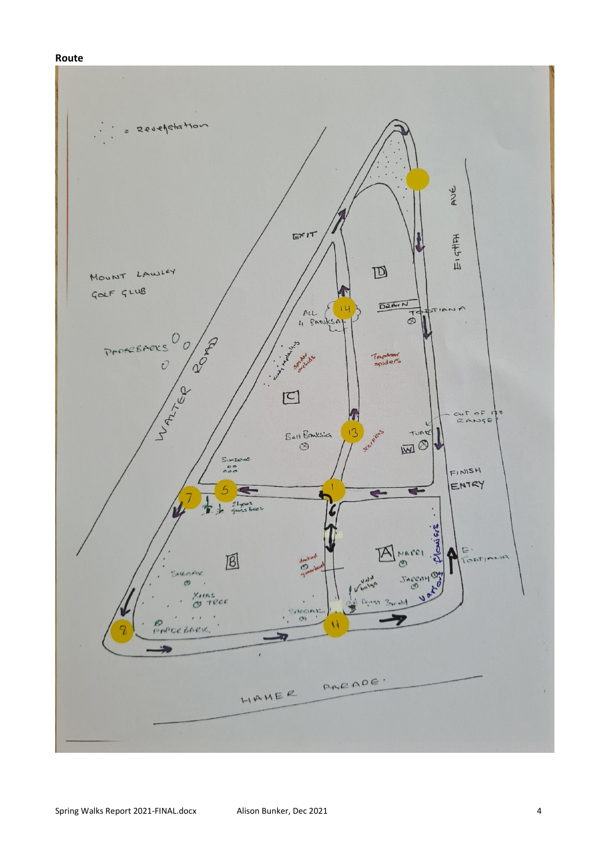#### **Route**

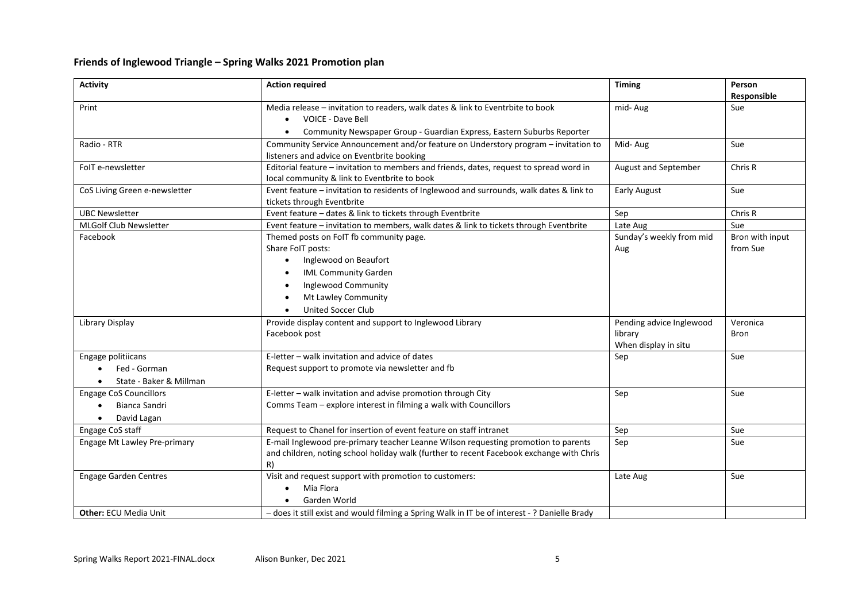## **Friends of Inglewood Triangle – Spring Walks 2021 Promotion plan**

| <b>Activity</b>               | <b>Action required</b>                                                                        | <b>Timing</b>            | Person          |
|-------------------------------|-----------------------------------------------------------------------------------------------|--------------------------|-----------------|
|                               |                                                                                               |                          | Responsible     |
| Print                         | Media release - invitation to readers, walk dates & link to Eventrbite to book                | mid-Aug                  | Sue             |
|                               | <b>VOICE - Dave Bell</b><br>$\bullet$                                                         |                          |                 |
|                               | Community Newspaper Group - Guardian Express, Eastern Suburbs Reporter                        |                          |                 |
| Radio - RTR                   | Community Service Announcement and/or feature on Understory program - invitation to           | Mid-Aug                  | Sue             |
|                               | listeners and advice on Eventbrite booking                                                    |                          |                 |
| FoIT e-newsletter             | Editorial feature - invitation to members and friends, dates, request to spread word in       | August and September     | Chris R         |
|                               | local community & link to Eventbrite to book                                                  |                          |                 |
| CoS Living Green e-newsletter | Event feature - invitation to residents of Inglewood and surrounds, walk dates & link to      | <b>Early August</b>      | Sue             |
|                               | tickets through Eventbrite                                                                    |                          |                 |
| <b>UBC Newsletter</b>         | Event feature - dates & link to tickets through Eventbrite                                    | Sep                      | Chris R         |
| <b>MLGolf Club Newsletter</b> | Event feature - invitation to members, walk dates & link to tickets through Eventbrite        | Late Aug                 | Sue             |
| Facebook                      | Themed posts on FoIT fb community page.                                                       | Sunday's weekly from mid | Bron with input |
|                               | Share FoIT posts:                                                                             | Aug                      | from Sue        |
|                               | Inglewood on Beaufort                                                                         |                          |                 |
|                               | <b>IML Community Garden</b>                                                                   |                          |                 |
|                               | Inglewood Community                                                                           |                          |                 |
|                               | Mt Lawley Community                                                                           |                          |                 |
|                               | <b>United Soccer Club</b>                                                                     |                          |                 |
| Library Display               | Provide display content and support to Inglewood Library                                      | Pending advice Inglewood | Veronica        |
|                               | Facebook post                                                                                 | library                  | <b>Bron</b>     |
|                               |                                                                                               | When display in situ     |                 |
| Engage politiicans            | E-letter - walk invitation and advice of dates                                                | Sep                      | Sue             |
| Fed - Gorman                  | Request support to promote via newsletter and fb                                              |                          |                 |
| State - Baker & Millman       |                                                                                               |                          |                 |
| Engage CoS Councillors        | E-letter - walk invitation and advise promotion through City                                  | Sep                      | Sue             |
| Bianca Sandri                 | Comms Team - explore interest in filming a walk with Councillors                              |                          |                 |
| David Lagan<br>$\bullet$      |                                                                                               |                          |                 |
| Engage CoS staff              | Request to Chanel for insertion of event feature on staff intranet                            | Sep                      | Sue             |
| Engage Mt Lawley Pre-primary  | E-mail Inglewood pre-primary teacher Leanne Wilson requesting promotion to parents            | Sep                      | Sue             |
|                               | and children, noting school holiday walk (further to recent Facebook exchange with Chris      |                          |                 |
|                               | R)                                                                                            |                          |                 |
| <b>Engage Garden Centres</b>  | Visit and request support with promotion to customers:                                        | Late Aug                 | Sue             |
|                               | Mia Flora<br>$\bullet$                                                                        |                          |                 |
|                               | Garden World                                                                                  |                          |                 |
| <b>Other: ECU Media Unit</b>  | - does it still exist and would filming a Spring Walk in IT be of interest - ? Danielle Brady |                          |                 |